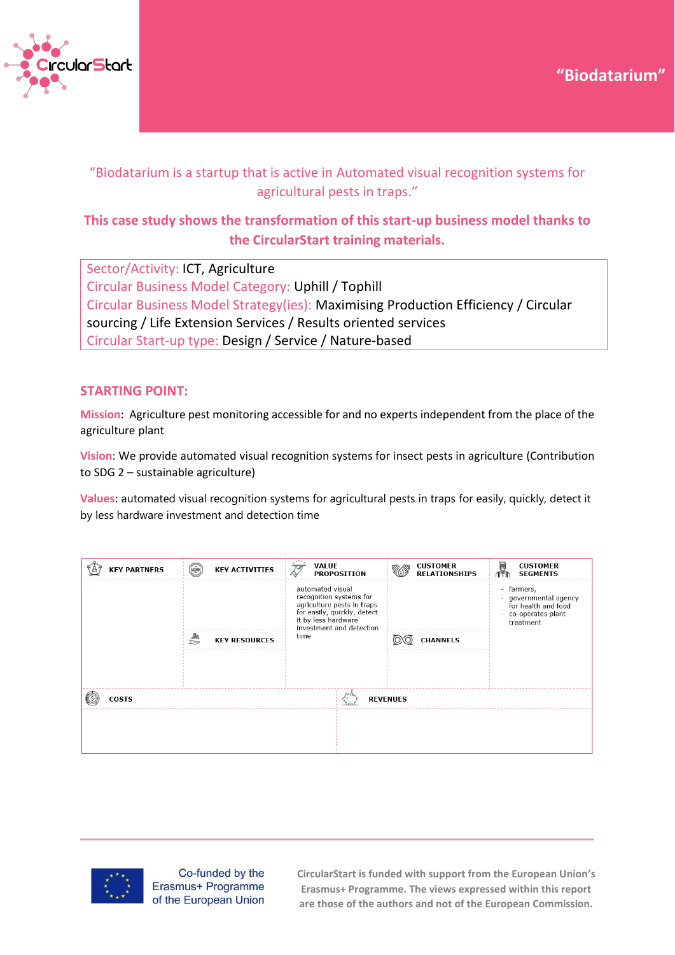



# "Biodatarium is a startup that is active in Automated visual recognition systems for agricultural pests in traps."

# **This case study shows the transformation of this start-up business model thanks to the CircularStart training materials.**

Sector/Activity: ICT, Agriculture Circular Business Model Category: Uphill / Tophill Circular Business Model Strategy(ies): Maximising Production Efficiency / Circular sourcing / Life Extension Services / Results oriented services Circular Start-up type: Design / Service / Nature-based

## **STARTING POINT:**

**Mission**: Agriculture pest monitoring accessible for and no experts independent from the place of the agriculture plant

**Vision**: We provide automated visual recognition systems for insect pests in agriculture (Contribution to SDG 2 – sustainable agriculture)

**Values**: automated visual recognition systems for agricultural pests in traps for easily, quickly, detect it by less hardware investment and detection time

|  | <b>KEY PARTNERS</b> | $\left(\overline{X} \right)$ | <b>KEY ACTIVITIES</b> | <b>VALUE</b><br>$\overline{\mathcal{V}}$ | <b>PROPOSITION</b>                                                                                                                      |  | <b>CUSTOMER</b><br><b>RELATIONSHIPS</b> | 圝<br>ſŤħ | <b>CUSTOMER</b><br><b>SEGMENTS</b>                                                           |
|--|---------------------|------------------------------|-----------------------|------------------------------------------|-----------------------------------------------------------------------------------------------------------------------------------------|--|-----------------------------------------|----------|----------------------------------------------------------------------------------------------|
|  |                     |                              |                       | automated visual                         | recognition systems for<br>agriculture pests in traps<br>for easily, quickly, detect<br>it by less hardware<br>investment and detection |  |                                         | $\sim$   | - farmers,<br>governmental agency<br>for health and food<br>- co-operates plant<br>treatment |
|  |                     | a<br>U                       | <b>KEY RESOURCES</b>  | time                                     |                                                                                                                                         |  | <b>CHANNELS</b>                         |          |                                                                                              |
|  |                     |                              |                       |                                          |                                                                                                                                         |  |                                         |          |                                                                                              |
|  |                     |                              |                       |                                          |                                                                                                                                         |  |                                         |          |                                                                                              |
|  | <b>COSTS</b>        |                              |                       |                                          | <b>REVENUES</b>                                                                                                                         |  |                                         |          |                                                                                              |
|  |                     |                              |                       |                                          |                                                                                                                                         |  |                                         |          |                                                                                              |
|  |                     |                              |                       |                                          |                                                                                                                                         |  |                                         |          |                                                                                              |
|  |                     |                              |                       |                                          |                                                                                                                                         |  |                                         |          |                                                                                              |



Co-funded by the Erasmus+ Programme of the European Union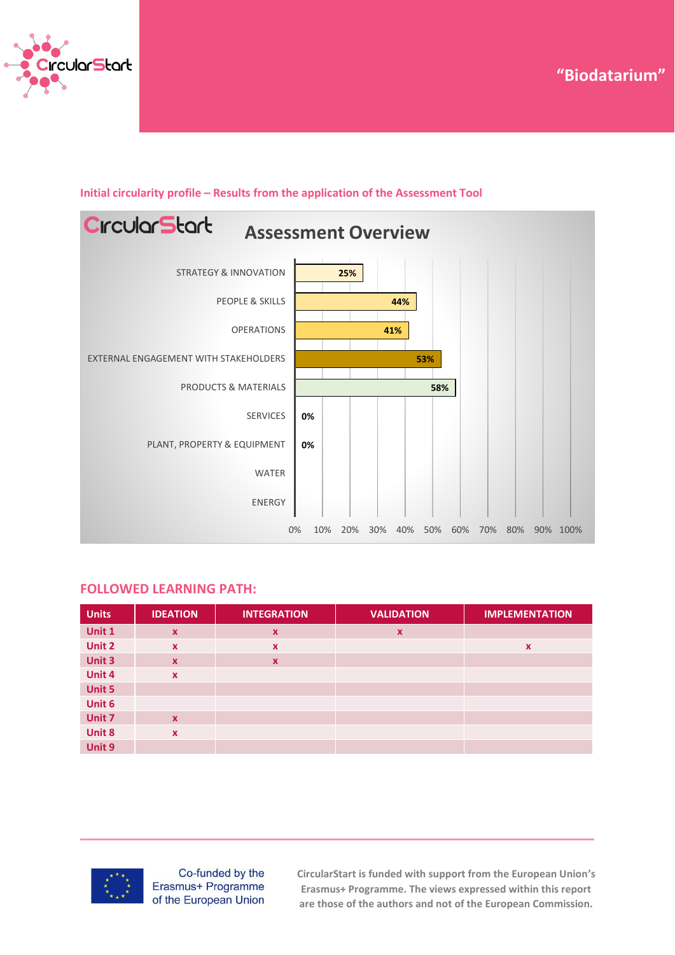



## **Initial circularity profile – Results from the application of the Assessment Tool**

#### **FOLLOWED LEARNING PATH:**

| <b>Units</b> | <b>IDEATION</b>  | <b>INTEGRATION</b>        | <b>VALIDATION</b>         | <b>IMPLEMENTATION</b> |
|--------------|------------------|---------------------------|---------------------------|-----------------------|
| Unit 1       | $\mathbf{x}$     | $\boldsymbol{\mathsf{x}}$ | $\boldsymbol{\mathsf{x}}$ |                       |
| Unit 2       | $\mathbf x$      | $\boldsymbol{\mathsf{x}}$ |                           | $\boldsymbol{x}$      |
| Unit 3       | $\mathbf x$      | $\boldsymbol{\mathsf{x}}$ |                           |                       |
| Unit 4       | $\mathbf x$      |                           |                           |                       |
| Unit 5       |                  |                           |                           |                       |
| Unit 6       |                  |                           |                           |                       |
| Unit 7       | $\mathbf{x}$     |                           |                           |                       |
| Unit 8       | $\boldsymbol{x}$ |                           |                           |                       |
| Unit 9       |                  |                           |                           |                       |



Co-funded by the Erasmus+ Programme of the European Union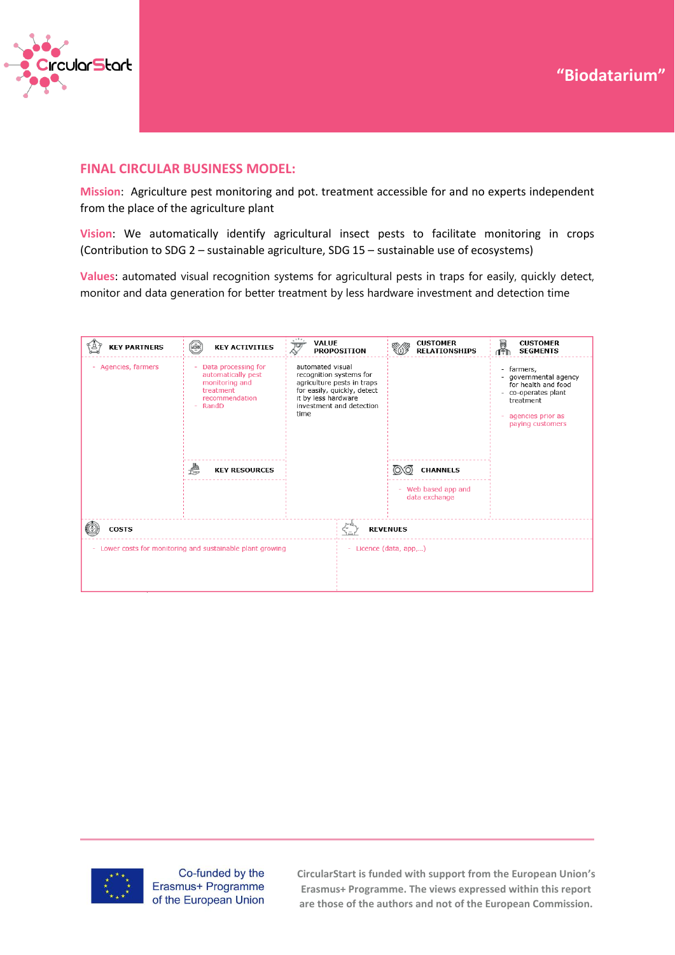

### **FINAL CIRCULAR BUSINESS MODEL:**

**Mission**: Agriculture pest monitoring and pot. treatment accessible for and no experts independent from the place of the agriculture plant

**Vision**: We automatically identify agricultural insect pests to facilitate monitoring in crops (Contribution to SDG 2 – sustainable agriculture, SDG 15 – sustainable use of ecosystems)

**Values**: automated visual recognition systems for agricultural pests in traps for easily, quickly detect, monitor and data generation for better treatment by less hardware investment and detection time





Co-funded by the Erasmus+ Programme of the European Union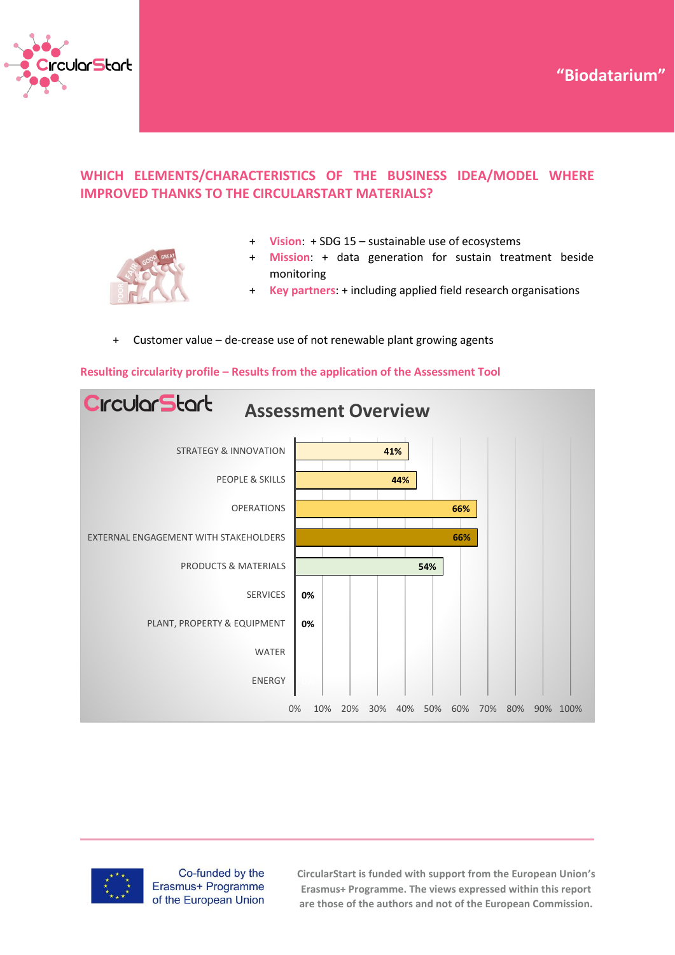



## **WHICH ELEMENTS/CHARACTERISTICS OF THE BUSINESS IDEA/MODEL WHERE IMPROVED THANKS TO THE CIRCULARSTART MATERIALS?**



- + **Vision**: + SDG 15 sustainable use of ecosystems
- **Mission:** + data generation for sustain treatment beside monitoring
- + **Key partners**: + including applied field research organisations

#### Customer value – de-crease use of not renewable plant growing agents







Co-funded by the Erasmus+ Programme of the European Union